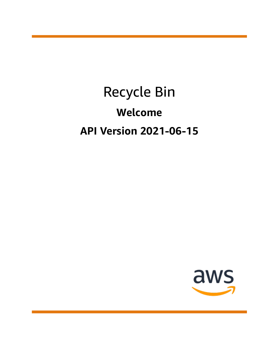# Recycle Bin **Welcome API Version 2021-06-15**

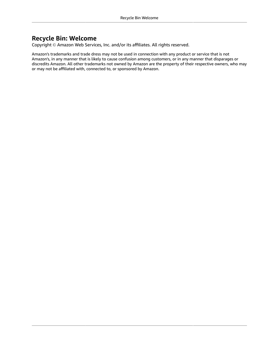### **Recycle Bin: Welcome**

Copyright © Amazon Web Services, Inc. and/or its affiliates. All rights reserved.

Amazon's trademarks and trade dress may not be used in connection with any product or service that is not Amazon's, in any manner that is likely to cause confusion among customers, or in any manner that disparages or discredits Amazon. All other trademarks not owned by Amazon are the property of their respective owners, who may or may not be affiliated with, connected to, or sponsored by Amazon.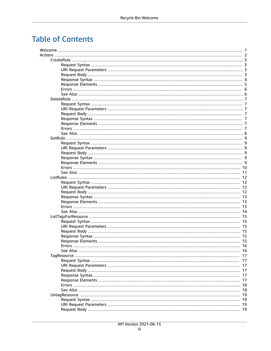# **Table of Contents**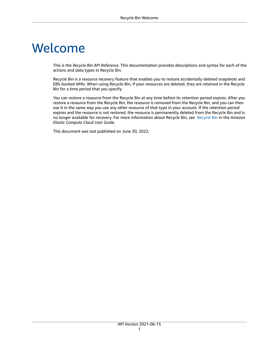# <span id="page-4-0"></span>Welcome

This is the *Recycle Bin API Reference*. This documentation provides descriptions and syntax for each of the actions and data types in Recycle Bin.

Recycle Bin is a resource recovery feature that enables you to restore accidentally deleted snapshots and EBS-backed AMIs. When using Recycle Bin, if your resources are deleted, they are retained in the Recycle Bin for a time period that you specify.

You can restore a resource from the Recycle Bin at any time before its retention period expires. After you restore a resource from the Recycle Bin, the resource is removed from the Recycle Bin, and you can then use it in the same way you use any other resource of that type in your account. If the retention period expires and the resource is not restored, the resource is permanently deleted from the Recycle Bin and is no longer available for recovery. For more information about Recycle Bin, see [Recycle](https://docs.aws.amazon.com/AWSEC2/latest/UserGuide/snapshot-recycle-bin.html) Bin in the *Amazon Elastic Compute Cloud User Guide*.

This document was last published on June 30, 2022.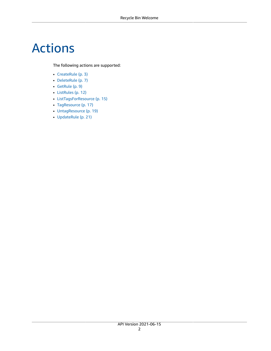# <span id="page-5-0"></span>Actions

The following actions are supported:

- [CreateRule \(p. 3\)](#page-6-0)
- [DeleteRule \(p. 7\)](#page-10-0)
- [GetRule \(p. 9\)](#page-12-0)
- [ListRules \(p. 12\)](#page-15-0)
- [ListTagsForResource \(p. 15\)](#page-18-0)
- [TagResource \(p. 17\)](#page-20-0)
- [UntagResource \(p. 19\)](#page-22-0)
- [UpdateRule \(p. 21\)](#page-24-0)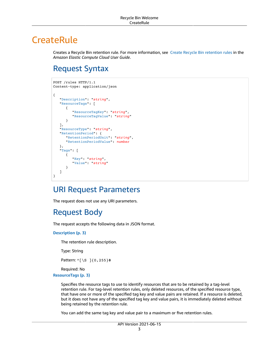# <span id="page-6-0"></span>**CreateRule**

Creates a Recycle Bin retention rule. For more information, see Create Recycle Bin [retention](https://docs.aws.amazon.com/AWSEC2/latest/UserGuide/recycle-bin-working-with-rules.html#recycle-bin-create-rule) rules in the *Amazon Elastic Compute Cloud User Guide*.

## <span id="page-6-1"></span>Request Syntax

```
POST /rules HTTP/1.1
Content-type: application/json
{
    "Description": "string",
    "ResourceTags": [ 
       { 
           "ResourceTagKey": "string",
           "ResourceTagValue": "string"
       }
    ],
    "ResourceType": "string",
    "RetentionPeriod": { 
       "RetentionPeriodUnit": "string",
       "RetentionPeriodValue": number
    },
    "Tags": [ 
       { 
           "Key": "string",
           "Value": "string"
       }
    ]
}
```
### <span id="page-6-2"></span>URI Request Parameters

The request does not use any URI parameters.

## <span id="page-6-3"></span>Request Body

The request accepts the following data in JSON format.

<span id="page-6-4"></span>**[Description \(p. 3\)](#page-6-1)**

The retention rule description.

Type: String

Pattern: ^[\S ]{0,255}\$

Required: No

#### <span id="page-6-5"></span>**[ResourceTags \(p. 3\)](#page-6-1)**

Specifies the resource tags to use to identify resources that are to be retained by a tag-level retention rule. For tag-level retention rules, only deleted resources, of the specified resource type, that have one or more of the specified tag key and value pairs are retained. If a resource is deleted, but it does not have any of the specified tag key and value pairs, it is immediately deleted without being retained by the retention rule.

You can add the same tag key and value pair to a maximum or five retention rules.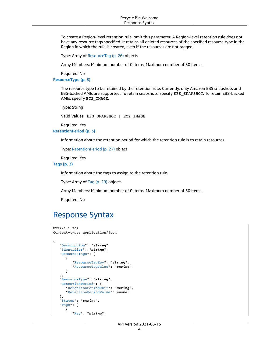To create a Region-level retention rule, omit this parameter. A Region-level retention rule does not have any resource tags specified. It retains all deleted resources of the specified resource type in the Region in which the rule is created, even if the resources are not tagged.

Type: Array of [ResourceTag \(p. 26\)](#page-29-0) objects

Array Members: Minimum number of 0 items. Maximum number of 50 items.

Required: No

<span id="page-7-1"></span>**[ResourceType \(p. 3\)](#page-6-1)**

The resource type to be retained by the retention rule. Currently, only Amazon EBS snapshots and EBS-backed AMIs are supported. To retain snapshots, specify EBS\_SNAPSHOT. To retain EBS-backed AMIs, specify EC2\_IMAGE.

Type: String

Valid Values: EBS\_SNAPSHOT | EC2\_IMAGE

Required: Yes

#### <span id="page-7-2"></span>**[RetentionPeriod \(p. 3\)](#page-6-1)**

Information about the retention period for which the retention rule is to retain resources.

```
Type: RetentionPeriod (p. 27) object
```
Required: Yes

<span id="page-7-3"></span>**[Tags \(p. 3\)](#page-6-1)**

Information about the tags to assign to the retention rule.

Type: Array of [Tag \(p. 29\)](#page-32-0) objects

Array Members: Minimum number of 0 items. Maximum number of 50 items.

Required: No

### <span id="page-7-0"></span>Response Syntax

```
HTTP/1.1 201
Content-type: application/json
{
    "Description": "string",
    "Identifier": "string",
    "ResourceTags": [ 
       { 
          "ResourceTagKey": "string",
          "ResourceTagValue": "string"
       }
    ],
    "ResourceType": "string",
    "RetentionPeriod": { 
       "RetentionPeriodUnit": "string",
       "RetentionPeriodValue": number
    },
    "Status": "string",
    "Tags": [ 
       { 
          "Key": "string",
```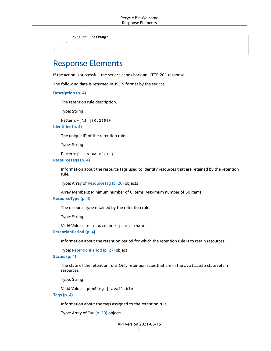```
 "Value": "string"
        }
    ]
}
```
### <span id="page-8-0"></span>Response Elements

If the action is successful, the service sends back an HTTP 201 response.

The following data is returned in JSON format by the service.

```
Description (p. 4)
```
The retention rule description.

Type: String

Pattern: ^[\S ]{0,255}\$

<span id="page-8-2"></span>**[Identifier \(p. 4\)](#page-7-0)**

The unique ID of the retention rule.

Type: String

Pattern: [0-9a-zA-Z]{11}

<span id="page-8-3"></span>**[ResourceTags \(p. 4\)](#page-7-0)**

Information about the resource tags used to identify resources that are retained by the retention rule.

Type: Array of [ResourceTag \(p. 26\)](#page-29-0) objects

Array Members: Minimum number of 0 items. Maximum number of 50 items.

#### <span id="page-8-4"></span>**[ResourceType \(p. 4\)](#page-7-0)**

The resource type retained by the retention rule.

Type: String

Valid Values: EBS\_SNAPSHOT | EC2\_IMAGE

<span id="page-8-5"></span>**[RetentionPeriod \(p. 4\)](#page-7-0)**

Information about the retention period for which the retention rule is to retain resources.

Type: [RetentionPeriod \(p. 27\)](#page-30-0) object

#### <span id="page-8-6"></span>**[Status \(p. 4\)](#page-7-0)**

The state of the retention rule. Only retention rules that are in the available state retain resources.

Type: String

Valid Values: pending | available

<span id="page-8-7"></span>**[Tags \(p. 4\)](#page-7-0)**

Information about the tags assigned to the retention rule.

Type: Array of [Tag \(p. 29\)](#page-32-0) objects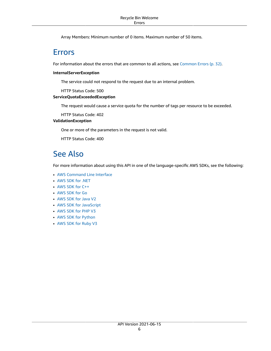Array Members: Minimum number of 0 items. Maximum number of 50 items.

### <span id="page-9-0"></span>Errors

For information about the errors that are common to all actions, see [Common](#page-35-0) Error[s \(p. 32\).](#page-35-0)

#### **InternalServerException**

The service could not respond to the request due to an internal problem.

HTTP Status Code: 500

### **ServiceQuotaExceededException**

The request would cause a service quota for the number of tags per resource to be exceeded.

HTTP Status Code: 402

### **ValidationException**

One or more of the parameters in the request is not valid.

HTTP Status Code: 400

### <span id="page-9-1"></span>See Also

- AWS [Command](https://docs.aws.amazon.com/goto/aws-cli/rbin-2021-06-15/CreateRule) Line Interface
- [AWS](https://docs.aws.amazon.com/goto/DotNetSDKV3/rbin-2021-06-15/CreateRule) SDK for .NET
- [AWS](https://docs.aws.amazon.com/goto/SdkForCpp/rbin-2021-06-15/CreateRule) SDK for C++
- [AWS](https://docs.aws.amazon.com/goto/SdkForGoV1/rbin-2021-06-15/CreateRule) SDK for Go
- [AWS](https://docs.aws.amazon.com/goto/SdkForJavaV2/rbin-2021-06-15/CreateRule) SDK for Java V2
- AWS SDK for [JavaScript](https://docs.aws.amazon.com/goto/AWSJavaScriptSDK/rbin-2021-06-15/CreateRule)
- [AWS](https://docs.aws.amazon.com/goto/SdkForPHPV3/rbin-2021-06-15/CreateRule) SDK for PHP V3
- AWS SDK for [Python](https://docs.aws.amazon.com/goto/boto3/rbin-2021-06-15/CreateRule)
- AWS SDK for [Ruby](https://docs.aws.amazon.com/goto/SdkForRubyV3/rbin-2021-06-15/CreateRule) V3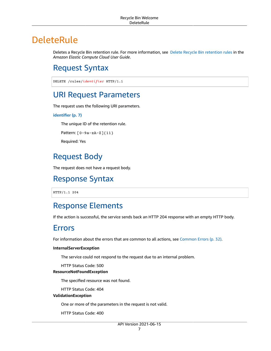# <span id="page-10-0"></span>DeleteRule

Deletes a Recycle Bin retention rule. For more information, see Delete Recycle Bin [retention](https://docs.aws.amazon.com/AWSEC2/latest/UserGuide/recycle-bin-working-with-rules.html#recycle-bin-delete-rule) rules in the *Amazon Elastic Compute Cloud User Guide*.

# <span id="page-10-1"></span>Request Syntax

DELETE /rules/*identifier* HTTP/1.1

### <span id="page-10-2"></span>URI Request Parameters

The request uses the following URI parameters.

#### **[identifier \(p. 7\)](#page-10-1)**

The unique ID of the retention rule.

Pattern: [0-9a-zA-Z]{11}

Required: Yes

### <span id="page-10-3"></span>Request Body

<span id="page-10-4"></span>The request does not have a request body.

### Response Syntax

HTTP/1.1 204

### <span id="page-10-5"></span>Response Elements

If the action is successful, the service sends back an HTTP 204 response with an empty HTTP body.

### <span id="page-10-6"></span>Errors

For information about the errors that are common to all actions, see [Common](#page-35-0) Error[s \(p. 32\).](#page-35-0)

#### **InternalServerException**

The service could not respond to the request due to an internal problem.

HTTP Status Code: 500

### **ResourceNotFoundException**

The specified resource was not found.

HTTP Status Code: 404

#### **ValidationException**

One or more of the parameters in the request is not valid.

HTTP Status Code: 400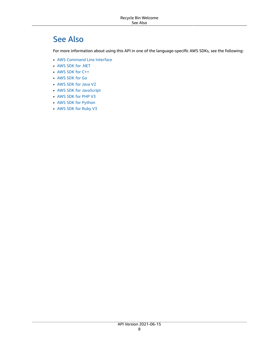# <span id="page-11-0"></span>See Also

- AWS [Command](https://docs.aws.amazon.com/goto/aws-cli/rbin-2021-06-15/DeleteRule) Line Interface
- [AWS](https://docs.aws.amazon.com/goto/DotNetSDKV3/rbin-2021-06-15/DeleteRule) SDK for .NET
- [AWS](https://docs.aws.amazon.com/goto/SdkForCpp/rbin-2021-06-15/DeleteRule) SDK for C++
- [AWS](https://docs.aws.amazon.com/goto/SdkForGoV1/rbin-2021-06-15/DeleteRule) SDK for Go
- [AWS](https://docs.aws.amazon.com/goto/SdkForJavaV2/rbin-2021-06-15/DeleteRule) SDK for Java V2
- AWS SDK for [JavaScript](https://docs.aws.amazon.com/goto/AWSJavaScriptSDK/rbin-2021-06-15/DeleteRule)
- [AWS](https://docs.aws.amazon.com/goto/SdkForPHPV3/rbin-2021-06-15/DeleteRule) SDK for PHP V3
- AWS SDK for [Python](https://docs.aws.amazon.com/goto/boto3/rbin-2021-06-15/DeleteRule)
- AWS SDK for [Ruby](https://docs.aws.amazon.com/goto/SdkForRubyV3/rbin-2021-06-15/DeleteRule) V3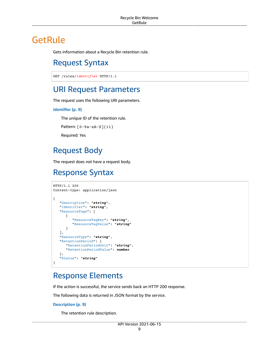# <span id="page-12-1"></span><span id="page-12-0"></span>**GetRule**

Gets information about a Recycle Bin retention rule.

## Request Syntax

```
GET /rules/identifier HTTP/1.1
```
### <span id="page-12-2"></span>URI Request Parameters

The request uses the following URI parameters.

### **[identifier \(p. 9\)](#page-12-1)**

The unique ID of the retention rule.

```
Pattern: [0-9a-zA-Z]{11}
```
Required: Yes

### <span id="page-12-3"></span>Request Body

The request does not have a request body.

### <span id="page-12-4"></span>Response Syntax

```
HTTP/1.1 200
Content-type: application/json
{
    "Description": "string",
    "Identifier": "string",
    "ResourceTags": [ 
       { 
           "ResourceTagKey": "string",
           "ResourceTagValue": "string"
       }
    ],
    "ResourceType": "string",
    "RetentionPeriod": { 
       "RetentionPeriodUnit": "string",
       "RetentionPeriodValue": number
    },
    "Status": "string"
}
```
### <span id="page-12-5"></span>Response Elements

If the action is successful, the service sends back an HTTP 200 response.

The following data is returned in JSON format by the service.

#### <span id="page-12-6"></span>**[Description \(p. 9\)](#page-12-4)**

The retention rule description.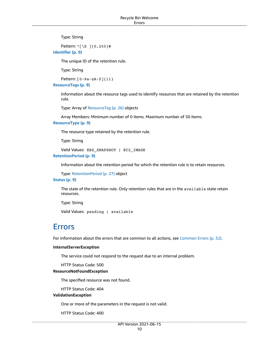Type: String

<span id="page-13-1"></span>Pattern: ^[\S ]{0,255}\$ **[Identifier \(p. 9\)](#page-12-4)**

The unique ID of the retention rule.

Type: String

Pattern: [0-9a-zA-Z]{11}

<span id="page-13-2"></span>**[ResourceTags \(p. 9\)](#page-12-4)**

Information about the resource tags used to identify resources that are retained by the retention rule.

Type: Array of [ResourceTag \(p. 26\)](#page-29-0) objects

Array Members: Minimum number of 0 items. Maximum number of 50 items.

<span id="page-13-3"></span>**[ResourceType \(p. 9\)](#page-12-4)**

The resource type retained by the retention rule.

Type: String

Valid Values: EBS\_SNAPSHOT | EC2\_IMAGE

<span id="page-13-4"></span>**[RetentionPeriod \(p. 9\)](#page-12-4)**

Information about the retention period for which the retention rule is to retain resources.

Type: [RetentionPeriod \(p. 27\)](#page-30-0) object

<span id="page-13-5"></span>**[Status \(p. 9\)](#page-12-4)**

The state of the retention rule. Only retention rules that are in the available state retain resources.

Type: String

Valid Values: pending | available

### <span id="page-13-0"></span>Errors

For information about the errors that are common to all actions, see [Common](#page-35-0) Error[s \(p. 32\).](#page-35-0)

#### **InternalServerException**

The service could not respond to the request due to an internal problem.

HTTP Status Code: 500

#### **ResourceNotFoundException**

The specified resource was not found.

HTTP Status Code: 404

### **ValidationException**

One or more of the parameters in the request is not valid.

HTTP Status Code: 400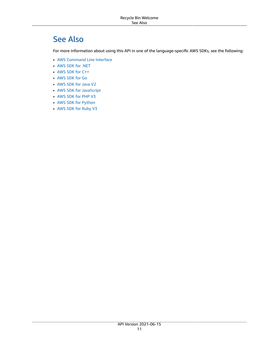# <span id="page-14-0"></span>See Also

- AWS [Command](https://docs.aws.amazon.com/goto/aws-cli/rbin-2021-06-15/GetRule) Line Interface
- [AWS](https://docs.aws.amazon.com/goto/DotNetSDKV3/rbin-2021-06-15/GetRule) SDK for .NET
- [AWS](https://docs.aws.amazon.com/goto/SdkForCpp/rbin-2021-06-15/GetRule) SDK for C++
- [AWS](https://docs.aws.amazon.com/goto/SdkForGoV1/rbin-2021-06-15/GetRule) SDK for Go
- [AWS](https://docs.aws.amazon.com/goto/SdkForJavaV2/rbin-2021-06-15/GetRule) SDK for Java V2
- AWS SDK for [JavaScript](https://docs.aws.amazon.com/goto/AWSJavaScriptSDK/rbin-2021-06-15/GetRule)
- [AWS](https://docs.aws.amazon.com/goto/SdkForPHPV3/rbin-2021-06-15/GetRule) SDK for PHP V3
- AWS SDK for [Python](https://docs.aws.amazon.com/goto/boto3/rbin-2021-06-15/GetRule)
- AWS SDK for [Ruby](https://docs.aws.amazon.com/goto/SdkForRubyV3/rbin-2021-06-15/GetRule) V3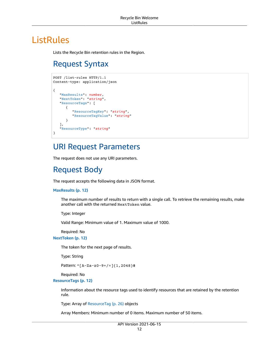# <span id="page-15-1"></span><span id="page-15-0"></span>**ListRules**

Lists the Recycle Bin retention rules in the Region.

# Request Syntax

```
POST /list-rules HTTP/1.1
Content-type: application/json
{
    "MaxResults": number,
    "NextToken": "string",
    "ResourceTags": [ 
      { 
          "ResourceTagKey": "string",
          "ResourceTagValue": "string"
       }
    ],
    "ResourceType": "string"
}
```
## <span id="page-15-2"></span>URI Request Parameters

The request does not use any URI parameters.

### <span id="page-15-3"></span>Request Body

The request accepts the following data in JSON format.

#### <span id="page-15-4"></span>**[MaxResults \(p. 12\)](#page-15-1)**

The maximum number of results to return with a single call. To retrieve the remaining results, make another call with the returned NextToken value.

Type: Integer

Valid Range: Minimum value of 1. Maximum value of 1000.

Required: No

<span id="page-15-5"></span>**[NextToken \(p. 12\)](#page-15-1)**

The token for the next page of results.

Type: String

Pattern: ^[A-Za-z0-9+/=]{1,2048}\$

Required: No

<span id="page-15-6"></span>**[ResourceTags \(p. 12\)](#page-15-1)**

Information about the resource tags used to identify resources that are retained by the retention rule.

Type: Array of [ResourceTag \(p. 26\)](#page-29-0) objects

Array Members: Minimum number of 0 items. Maximum number of 50 items.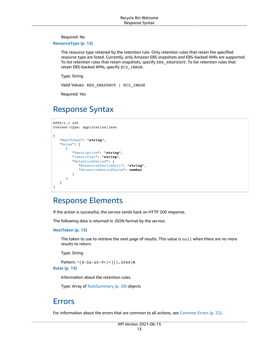Required: No

<span id="page-16-3"></span>**[ResourceType \(p. 12\)](#page-15-1)**

The resource type retained by the retention rule. Only retention rules that retain the specified resource type are listed. Currently, only Amazon EBS snapshots and EBS-backed AMIs are supported. To list retention rules that retain snapshots, specify EBS\_SNAPSHOT. To list retention rules that retain EBS-backed AMIs, specify EC2\_IMAGE.

Type: String

Valid Values: EBS\_SNAPSHOT | EC2\_IMAGE

Required: Yes

### <span id="page-16-0"></span>Response Syntax

```
HTTP/1.1 200
Content-type: application/json
{
    "NextToken": "string",
    "Rules": [ 
       { 
           "Description": "string",
           "Identifier": "string",
           "RetentionPeriod": { 
              "RetentionPeriodUnit": "string",
              "RetentionPeriodValue": number
           }
       }
    ]
}
```
### <span id="page-16-1"></span>Response Elements

If the action is successful, the service sends back an HTTP 200 response.

The following data is returned in JSON format by the service.

<span id="page-16-4"></span>**[NextToken \(p. 13\)](#page-16-0)**

The token to use to retrieve the next page of results. This value is null when there are no more results to return.

Type: String

Pattern: ^[A-Za-z0-9+/=]{1,2048}\$

<span id="page-16-5"></span>**[Rules \(p. 13\)](#page-16-0)**

Information about the retention rules.

Type: Array of [RuleSummary \(p. 28\)](#page-31-0) objects

### <span id="page-16-2"></span>Errors

For information about the errors that are common to all actions, see [Common](#page-35-0) Error[s \(p. 32\).](#page-35-0)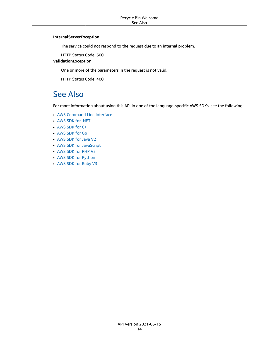#### **InternalServerException**

The service could not respond to the request due to an internal problem.

HTTP Status Code: 500

**ValidationException**

One or more of the parameters in the request is not valid.

HTTP Status Code: 400

### <span id="page-17-0"></span>See Also

- AWS [Command](https://docs.aws.amazon.com/goto/aws-cli/rbin-2021-06-15/ListRules) Line Interface
- [AWS](https://docs.aws.amazon.com/goto/DotNetSDKV3/rbin-2021-06-15/ListRules) SDK for .NET
- [AWS](https://docs.aws.amazon.com/goto/SdkForCpp/rbin-2021-06-15/ListRules) SDK for C++
- [AWS](https://docs.aws.amazon.com/goto/SdkForGoV1/rbin-2021-06-15/ListRules) SDK for Go
- [AWS](https://docs.aws.amazon.com/goto/SdkForJavaV2/rbin-2021-06-15/ListRules) SDK for Java V2
- AWS SDK for [JavaScript](https://docs.aws.amazon.com/goto/AWSJavaScriptSDK/rbin-2021-06-15/ListRules)
- [AWS](https://docs.aws.amazon.com/goto/SdkForPHPV3/rbin-2021-06-15/ListRules) SDK for PHP V3
- AWS SDK for [Python](https://docs.aws.amazon.com/goto/boto3/rbin-2021-06-15/ListRules)
- AWS SDK for [Ruby](https://docs.aws.amazon.com/goto/SdkForRubyV3/rbin-2021-06-15/ListRules) V3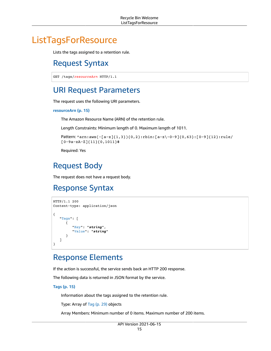# <span id="page-18-1"></span><span id="page-18-0"></span>**ListTagsForResource**

Lists the tags assigned to a retention rule.

### Request Syntax

```
GET /tags/resourceArn HTTP/1.1
```
### <span id="page-18-2"></span>URI Request Parameters

The request uses the following URI parameters.

#### **[resourceArn \(p. 15\)](#page-18-1)**

The Amazon Resource Name (ARN) of the retention rule.

Length Constraints: Minimum length of 0. Maximum length of 1011.

```
Pattern: ^arn:aws(-[a-z]{1,3}){0,2}:rbin:[a-z\-0-9]{0,63}:[0-9]{12}:rule/
[0-9a-zA-Z]{11}{0,1011}$
```
Required: Yes

## <span id="page-18-3"></span>Request Body

The request does not have a request body.

### <span id="page-18-4"></span>Response Syntax

```
HTTP/1.1 200
Content-type: application/json
{
    "Tags": [ 
       { 
          "Key": "string",
          "Value": "string"
 }
    ]
}
```
### <span id="page-18-5"></span>Response Elements

If the action is successful, the service sends back an HTTP 200 response.

The following data is returned in JSON format by the service.

<span id="page-18-6"></span>**[Tags \(p. 15\)](#page-18-4)**

Information about the tags assigned to the retention rule.

Type: Array of [Tag \(p. 29\)](#page-32-0) objects

Array Members: Minimum number of 0 items. Maximum number of 200 items.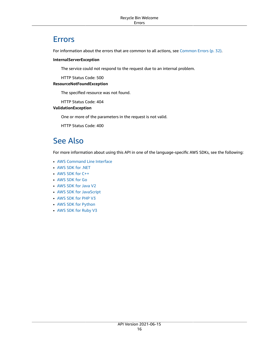### <span id="page-19-0"></span>Errors

For information about the errors that are common to all actions, see [Common](#page-35-0) Error[s \(p. 32\).](#page-35-0)

#### **InternalServerException**

The service could not respond to the request due to an internal problem.

HTTP Status Code: 500

### **ResourceNotFoundException**

The specified resource was not found.

HTTP Status Code: 404

### **ValidationException**

One or more of the parameters in the request is not valid.

HTTP Status Code: 400

### <span id="page-19-1"></span>See Also

- AWS [Command](https://docs.aws.amazon.com/goto/aws-cli/rbin-2021-06-15/ListTagsForResource) Line Interface
- [AWS](https://docs.aws.amazon.com/goto/DotNetSDKV3/rbin-2021-06-15/ListTagsForResource) SDK for .NET
- [AWS](https://docs.aws.amazon.com/goto/SdkForCpp/rbin-2021-06-15/ListTagsForResource) SDK for C++
- [AWS](https://docs.aws.amazon.com/goto/SdkForGoV1/rbin-2021-06-15/ListTagsForResource) SDK for Go
- [AWS](https://docs.aws.amazon.com/goto/SdkForJavaV2/rbin-2021-06-15/ListTagsForResource) SDK for Java V2
- AWS SDK for [JavaScript](https://docs.aws.amazon.com/goto/AWSJavaScriptSDK/rbin-2021-06-15/ListTagsForResource)
- [AWS](https://docs.aws.amazon.com/goto/SdkForPHPV3/rbin-2021-06-15/ListTagsForResource) SDK for PHP V3
- AWS SDK for [Python](https://docs.aws.amazon.com/goto/boto3/rbin-2021-06-15/ListTagsForResource)
- AWS SDK for [Ruby](https://docs.aws.amazon.com/goto/SdkForRubyV3/rbin-2021-06-15/ListTagsForResource) V3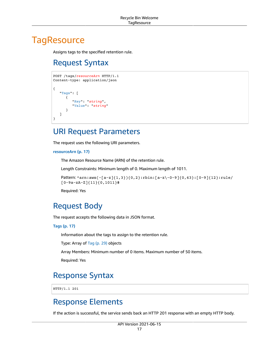# <span id="page-20-1"></span><span id="page-20-0"></span>**TagResource**

Assigns tags to the specified retention rule.

# Request Syntax

```
POST /tags/resourceArn HTTP/1.1
Content-type: application/json
{
    "Tags": [ 
       { 
           "Key": "string",
           "Value": "string"
       }
    ]
}
```
### <span id="page-20-2"></span>URI Request Parameters

The request uses the following URI parameters.

```
resourceArn (p. 17)
```
The Amazon Resource Name (ARN) of the retention rule.

Length Constraints: Minimum length of 0. Maximum length of 1011.

```
Pattern: \arcsin\{-\arcsin(1,3)\}(0,2):rbin:[a-z\rceil(0,63):[0-9]\{12\}:rule/[0-9a-zA-Z]{11}{0,1011}$
```
Required: Yes

### <span id="page-20-3"></span>Request Body

The request accepts the following data in JSON format.

#### <span id="page-20-6"></span>**[Tags \(p. 17\)](#page-20-1)**

Information about the tags to assign to the retention rule.

Type: Array of [Tag \(p. 29\)](#page-32-0) objects

Array Members: Minimum number of 0 items. Maximum number of 50 items.

Required: Yes

## <span id="page-20-4"></span>Response Syntax

HTTP/1.1 201

### <span id="page-20-5"></span>Response Elements

If the action is successful, the service sends back an HTTP 201 response with an empty HTTP body.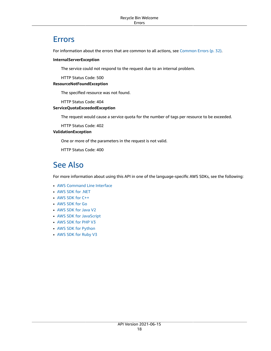### <span id="page-21-0"></span>Errors

For information about the errors that are common to all actions, see [Common](#page-35-0) Error[s \(p. 32\).](#page-35-0)

#### **InternalServerException**

The service could not respond to the request due to an internal problem.

HTTP Status Code: 500

#### **ResourceNotFoundException**

The specified resource was not found.

HTTP Status Code: 404

#### **ServiceQuotaExceededException**

The request would cause a service quota for the number of tags per resource to be exceeded.

HTTP Status Code: 402

### **ValidationException**

One or more of the parameters in the request is not valid.

HTTP Status Code: 400

### <span id="page-21-1"></span>See Also

- AWS [Command](https://docs.aws.amazon.com/goto/aws-cli/rbin-2021-06-15/TagResource) Line Interface
- [AWS](https://docs.aws.amazon.com/goto/DotNetSDKV3/rbin-2021-06-15/TagResource) SDK for .NET
- [AWS](https://docs.aws.amazon.com/goto/SdkForCpp/rbin-2021-06-15/TagResource) SDK for C++
- [AWS](https://docs.aws.amazon.com/goto/SdkForGoV1/rbin-2021-06-15/TagResource) SDK for Go
- [AWS](https://docs.aws.amazon.com/goto/SdkForJavaV2/rbin-2021-06-15/TagResource) SDK for Java V2
- AWS SDK for [JavaScript](https://docs.aws.amazon.com/goto/AWSJavaScriptSDK/rbin-2021-06-15/TagResource)
- [AWS](https://docs.aws.amazon.com/goto/SdkForPHPV3/rbin-2021-06-15/TagResource) SDK for PHP V3
- AWS SDK for [Python](https://docs.aws.amazon.com/goto/boto3/rbin-2021-06-15/TagResource)
- AWS SDK for [Ruby](https://docs.aws.amazon.com/goto/SdkForRubyV3/rbin-2021-06-15/TagResource) V3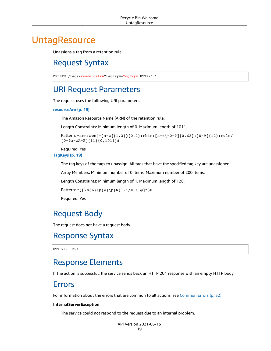# <span id="page-22-1"></span><span id="page-22-0"></span>**UntagResource**

Unassigns a tag from a retention rule.

## Request Syntax

DELETE /tags/*resourceArn*?tagKeys=*TagKeys* HTTP/1.1

### <span id="page-22-2"></span>URI Request Parameters

The request uses the following URI parameters.

#### **[resourceArn \(p. 19\)](#page-22-1)**

The Amazon Resource Name (ARN) of the retention rule.

Length Constraints: Minimum length of 0. Maximum length of 1011.

```
Pattern: \arcsin\{-\arcsin(1,3)\}(0,2):rbin:[a-z\-0-9]{0,63}:[0-9]{12}:rule/
[0-9a-zA-Z]{11}{0,1011}$
```
Required: Yes

**[TagKeys \(p. 19\)](#page-22-1)**

The tag keys of the tags to unassign. All tags that have the specified tag key are unassigned.

Array Members: Minimum number of 0 items. Maximum number of 200 items.

Length Constraints: Minimum length of 1. Maximum length of 128.

Pattern: ^([\p{L}\p{Z}\p{N}\_.:/=+\-@]\*)\$

Required: Yes

### <span id="page-22-3"></span>Request Body

The request does not have a request body.

### <span id="page-22-4"></span>Response Syntax

HTTP/1.1 204

### <span id="page-22-5"></span>Response Elements

<span id="page-22-6"></span>If the action is successful, the service sends back an HTTP 204 response with an empty HTTP body.

### Errors

For information about the errors that are common to all actions, see [Common](#page-35-0) Error[s \(p. 32\).](#page-35-0)

#### **InternalServerException**

The service could not respond to the request due to an internal problem.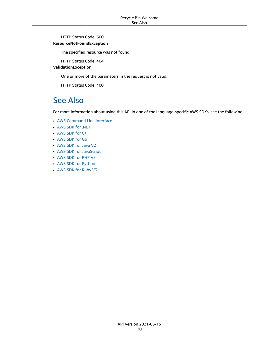HTTP Status Code: 500

#### **ResourceNotFoundException**

The specified resource was not found.

HTTP Status Code: 404

### **ValidationException**

One or more of the parameters in the request is not valid.

HTTP Status Code: 400

### <span id="page-23-0"></span>See Also

- AWS [Command](https://docs.aws.amazon.com/goto/aws-cli/rbin-2021-06-15/UntagResource) Line Interface
- [AWS](https://docs.aws.amazon.com/goto/DotNetSDKV3/rbin-2021-06-15/UntagResource) SDK for .NET
- [AWS](https://docs.aws.amazon.com/goto/SdkForCpp/rbin-2021-06-15/UntagResource) SDK for C++
- [AWS](https://docs.aws.amazon.com/goto/SdkForGoV1/rbin-2021-06-15/UntagResource) SDK for Go
- [AWS](https://docs.aws.amazon.com/goto/SdkForJavaV2/rbin-2021-06-15/UntagResource) SDK for Java V2
- AWS SDK for [JavaScript](https://docs.aws.amazon.com/goto/AWSJavaScriptSDK/rbin-2021-06-15/UntagResource)
- [AWS](https://docs.aws.amazon.com/goto/SdkForPHPV3/rbin-2021-06-15/UntagResource) SDK for PHP V3
- AWS SDK for [Python](https://docs.aws.amazon.com/goto/boto3/rbin-2021-06-15/UntagResource)
- AWS SDK for [Ruby](https://docs.aws.amazon.com/goto/SdkForRubyV3/rbin-2021-06-15/UntagResource) V3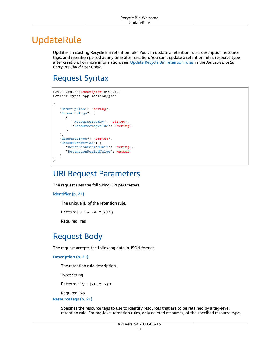# <span id="page-24-0"></span>UpdateRule

Updates an existing Recycle Bin retention rule. You can update a retention rule's description, resource tags, and retention period at any time after creation. You can't update a retention rule's resource type after creation. For more information, see Update Recycle Bin [retention](https://docs.aws.amazon.com/AWSEC2/latest/UserGuide/recycle-bin-working-with-rules.html#recycle-bin-update-rule) rules in the *Amazon Elastic Compute Cloud User Guide*.

# <span id="page-24-1"></span>Request Syntax

```
PATCH /rules/identifier HTTP/1.1
Content-type: application/json
{
    "Description": "string",
    "ResourceTags": [ 
       { 
          "ResourceTagKey": "string",
          "ResourceTagValue": "string"
       }
    ],
    "ResourceType": "string",
    "RetentionPeriod": { 
       "RetentionPeriodUnit": "string",
       "RetentionPeriodValue": number
    }
}
```
### <span id="page-24-2"></span>URI Request Parameters

The request uses the following URI parameters.

```
identifier (p. 21)
```
The unique ID of the retention rule.

```
Pattern: [0-9a-zA-Z]{11}
```
Required: Yes

# <span id="page-24-3"></span>Request Body

The request accepts the following data in JSON format.

#### <span id="page-24-4"></span>**[Description \(p. 21\)](#page-24-1)**

The retention rule description.

Type: String

Pattern: ^[\S ]{0,255}\$

Required: No

```
ResourceTags (p. 21)
```
Specifies the resource tags to use to identify resources that are to be retained by a tag-level retention rule. For tag-level retention rules, only deleted resources, of the specified resource type,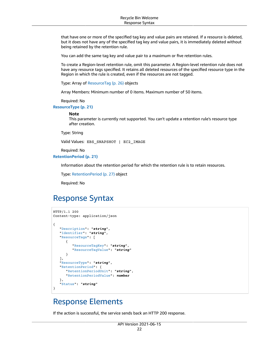that have one or more of the specified tag key and value pairs are retained. If a resource is deleted, but it does not have any of the specified tag key and value pairs, it is immediately deleted without being retained by the retention rule.

You can add the same tag key and value pair to a maximum or five retention rules.

To create a Region-level retention rule, omit this parameter. A Region-level retention rule does not have any resource tags specified. It retains all deleted resources of the specified resource type in the Region in which the rule is created, even if the resources are not tagged.

Type: Array of [ResourceTag \(p. 26\)](#page-29-0) objects

Array Members: Minimum number of 0 items. Maximum number of 50 items.

Required: No

<span id="page-25-2"></span>**[ResourceType \(p. 21\)](#page-24-1)**

#### **Note**

This parameter is currently not supported. You can't update a retention rule's resource type after creation.

Type: String

Valid Values: EBS\_SNAPSHOT | EC2\_IMAGE

Required: No

<span id="page-25-3"></span>**[RetentionPeriod \(p. 21\)](#page-24-1)**

Information about the retention period for which the retention rule is to retain resources.

Type: [RetentionPeriod \(p. 27\)](#page-30-0) object

Required: No

### <span id="page-25-0"></span>Response Syntax

```
HTTP/1.1 200
Content-type: application/json
{
    "Description": "string",
    "Identifier": "string",
    "ResourceTags": [ 
       { 
          "ResourceTagKey": "string",
          "ResourceTagValue": "string"
       }
    ],
    "ResourceType": "string",
    "RetentionPeriod": { 
       "RetentionPeriodUnit": "string",
       "RetentionPeriodValue": number
    },
    "Status": "string"
}
```
### <span id="page-25-1"></span>Response Elements

If the action is successful, the service sends back an HTTP 200 response.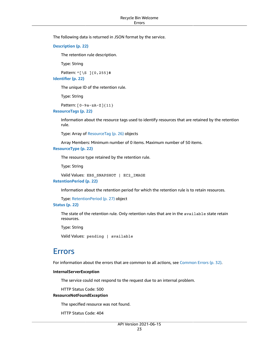The following data is returned in JSON format by the service.

<span id="page-26-1"></span>**[Description \(p. 22\)](#page-25-0)**

The retention rule description.

Type: String

<span id="page-26-2"></span>Pattern: ^[\S ]{0,255}\$ **[Identifier \(p. 22\)](#page-25-0)**

The unique ID of the retention rule.

Type: String

Pattern: [0-9a-zA-Z]{11}

<span id="page-26-3"></span>**[ResourceTags \(p. 22\)](#page-25-0)**

Information about the resource tags used to identify resources that are retained by the retention rule.

Type: Array of [ResourceTag \(p. 26\)](#page-29-0) objects

Array Members: Minimum number of 0 items. Maximum number of 50 items.

<span id="page-26-4"></span>**[ResourceType \(p. 22\)](#page-25-0)**

The resource type retained by the retention rule.

Type: String

```
Valid Values: EBS_SNAPSHOT | EC2_IMAGE
RetentionPeriod (p. 22)
```
Information about the retention period for which the retention rule is to retain resources.

Type: [RetentionPeriod \(p. 27\)](#page-30-0) object

### <span id="page-26-6"></span>**[Status \(p. 22\)](#page-25-0)**

The state of the retention rule. Only retention rules that are in the available state retain resources.

Type: String

Valid Values: pending | available

### <span id="page-26-0"></span>Errors

For information about the errors that are common to all actions, see [Common](#page-35-0) Error[s \(p. 32\).](#page-35-0)

#### **InternalServerException**

The service could not respond to the request due to an internal problem.

HTTP Status Code: 500

#### **ResourceNotFoundException**

The specified resource was not found.

HTTP Status Code: 404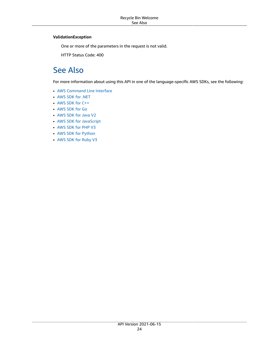### **ValidationException**

One or more of the parameters in the request is not valid.

HTTP Status Code: 400

## <span id="page-27-0"></span>See Also

- AWS [Command](https://docs.aws.amazon.com/goto/aws-cli/rbin-2021-06-15/UpdateRule) Line Interface
- [AWS](https://docs.aws.amazon.com/goto/DotNetSDKV3/rbin-2021-06-15/UpdateRule) SDK for .NET
- [AWS](https://docs.aws.amazon.com/goto/SdkForCpp/rbin-2021-06-15/UpdateRule) SDK for C++
- [AWS](https://docs.aws.amazon.com/goto/SdkForGoV1/rbin-2021-06-15/UpdateRule) SDK for Go
- [AWS](https://docs.aws.amazon.com/goto/SdkForJavaV2/rbin-2021-06-15/UpdateRule) SDK for Java V2
- AWS SDK for [JavaScript](https://docs.aws.amazon.com/goto/AWSJavaScriptSDK/rbin-2021-06-15/UpdateRule)
- [AWS](https://docs.aws.amazon.com/goto/SdkForPHPV3/rbin-2021-06-15/UpdateRule) SDK for PHP V3
- AWS SDK for [Python](https://docs.aws.amazon.com/goto/boto3/rbin-2021-06-15/UpdateRule)
- AWS SDK for [Ruby](https://docs.aws.amazon.com/goto/SdkForRubyV3/rbin-2021-06-15/UpdateRule) V3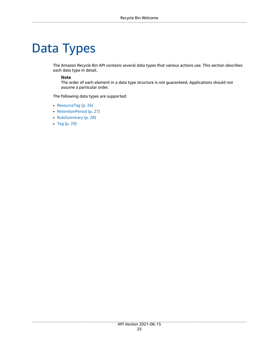# <span id="page-28-0"></span>Data Types

The Amazon Recycle Bin API contains several data types that various actions use. This section describes each data type in detail.

#### **Note**

The order of each element in a data type structure is not guaranteed. Applications should not assume a particular order.

The following data types are supported:

- [ResourceTag \(p. 26\)](#page-29-0)
- [RetentionPeriod \(p. 27\)](#page-30-0)
- [RuleSummary \(p. 28\)](#page-31-0)
- [Tag \(p. 29\)](#page-32-0)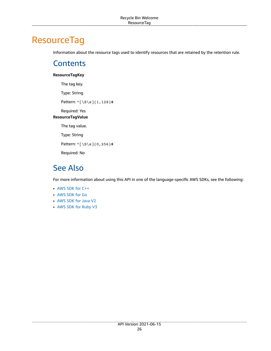# <span id="page-29-1"></span><span id="page-29-0"></span>**ResourceTag**

Information about the resource tags used to identify resources that are retained by the retention rule.

### **Contents**

### <span id="page-29-3"></span>**ResourceTagKey**

<span id="page-29-4"></span>The tag key. Type: String Pattern: ^[\S\s]{1,128}\$ Required: Yes **ResourceTagValue** The tag value. Type: String Pattern: ^[\S\s]{0,256}\$ Required: No

## <span id="page-29-2"></span>See Also

- [AWS](https://docs.aws.amazon.com/goto/SdkForCpp/rbin-2021-06-15/ResourceTag) SDK for C++
- [AWS](https://docs.aws.amazon.com/goto/SdkForGoV1/rbin-2021-06-15/ResourceTag) SDK for Go
- [AWS](https://docs.aws.amazon.com/goto/SdkForJavaV2/rbin-2021-06-15/ResourceTag) SDK for Java V2
- AWS SDK for [Ruby](https://docs.aws.amazon.com/goto/SdkForRubyV3/rbin-2021-06-15/ResourceTag) V3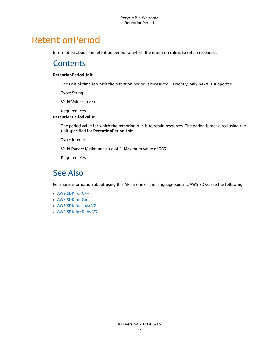# <span id="page-30-1"></span><span id="page-30-0"></span>RetentionPeriod

Information about the retention period for which the retention rule is to retain resources.

### **Contents**

### <span id="page-30-3"></span>**RetentionPeriodUnit**

The unit of time in which the retention period is measured. Currently, only DAYS is supported.

Type: String

Valid Values: DAYS

Required: Yes

### <span id="page-30-4"></span>**RetentionPeriodValue**

The period value for which the retention rule is to retain resources. The period is measured using the unit specified for **RetentionPeriodUnit**.

Type: Integer

Valid Range: Minimum value of 1. Maximum value of 365.

Required: Yes

### <span id="page-30-2"></span>See Also

- [AWS](https://docs.aws.amazon.com/goto/SdkForCpp/rbin-2021-06-15/RetentionPeriod) SDK for C++
- [AWS](https://docs.aws.amazon.com/goto/SdkForGoV1/rbin-2021-06-15/RetentionPeriod) SDK for Go
- [AWS](https://docs.aws.amazon.com/goto/SdkForJavaV2/rbin-2021-06-15/RetentionPeriod) SDK for Java V2
- AWS SDK for [Ruby](https://docs.aws.amazon.com/goto/SdkForRubyV3/rbin-2021-06-15/RetentionPeriod) V3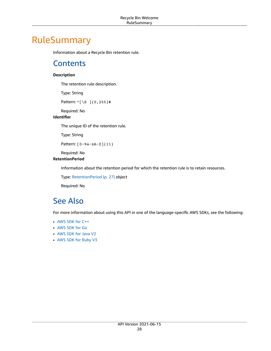# <span id="page-31-1"></span><span id="page-31-0"></span>RuleSummary

Information about a Recycle Bin retention rule.

### **Contents**

### <span id="page-31-3"></span>**Description**

The retention rule description.

Type: String

Pattern: ^[\S ]{0,255}\$

Required: No

### <span id="page-31-4"></span>**Identifier**

The unique ID of the retention rule.

Type: String

Pattern: [0-9a-zA-Z]{11}

Required: No

### <span id="page-31-5"></span>**RetentionPeriod**

Information about the retention period for which the retention rule is to retain resources.

Type: [RetentionPeriod \(p. 27\)](#page-30-0) object

Required: No

# <span id="page-31-2"></span>See Also

- [AWS](https://docs.aws.amazon.com/goto/SdkForCpp/rbin-2021-06-15/RuleSummary) SDK for C++
- [AWS](https://docs.aws.amazon.com/goto/SdkForGoV1/rbin-2021-06-15/RuleSummary) SDK for Go
- [AWS](https://docs.aws.amazon.com/goto/SdkForJavaV2/rbin-2021-06-15/RuleSummary) SDK for Java V2
- AWS SDK for [Ruby](https://docs.aws.amazon.com/goto/SdkForRubyV3/rbin-2021-06-15/RuleSummary) V3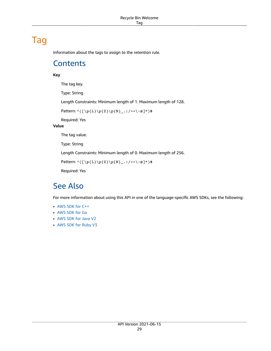# <span id="page-32-1"></span><span id="page-32-0"></span>Tag

Information about the tags to assign to the retention rule.

### **Contents**

### <span id="page-32-3"></span>**Key**

The tag key.

Type: String

Length Constraints: Minimum length of 1. Maximum length of 128.

Pattern: ^([\p{L}\p{Z}\p{N}\_.:/=+\-@]\*)\$

Required: Yes

### <span id="page-32-4"></span>**Value**

The tag value.

Type: String

Length Constraints: Minimum length of 0. Maximum length of 256.

Pattern:  $( \pmb{\wedge} ( \pmb{\wedge} p\{Z\} \pmb{\wedge} p, \pmb{\wedge} \pmb{\wedge} p, \pmb{\wedge} \pmb{\wedge} p, \pmb{\wedge} p, \pmb{\wedge} p, \pmb{\wedge} p, \pmb{\wedge} p, \pmb{\wedge} p, \pmb{\wedge} p, \pmb{\wedge} p, \pmb{\wedge} p, \pmb{\wedge} p, \pmb{\wedge} p, \pmb{\wedge} p, \pmb{\wedge} p, \pmb{\wedge} p, \pmb{\wedge} p, \pmb{\wedge} p, \pmb{\wedge} p, \pmb{\$ 

Required: Yes

### <span id="page-32-2"></span>See Also

- [AWS](https://docs.aws.amazon.com/goto/SdkForCpp/rbin-2021-06-15/Tag) SDK for C++
- [AWS](https://docs.aws.amazon.com/goto/SdkForGoV1/rbin-2021-06-15/Tag) SDK for Go
- [AWS](https://docs.aws.amazon.com/goto/SdkForJavaV2/rbin-2021-06-15/Tag) SDK for Java V2
- AWS SDK for [Ruby](https://docs.aws.amazon.com/goto/SdkForRubyV3/rbin-2021-06-15/Tag) V3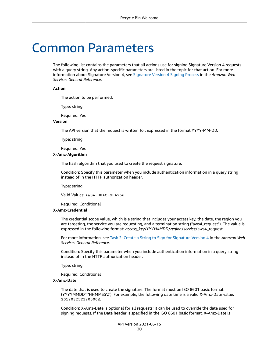# <span id="page-33-0"></span>Common Parameters

The following list contains the parameters that all actions use for signing Signature Version 4 requests with a query string. Any action-specific parameters are listed in the topic for that action. For more information about Signature Version 4, see [Signature](http://docs.aws.amazon.com/general/latest/gr/signature-version-4.html) Version 4 Signing Process in the *Amazon Web Services General Reference*.

#### **Action**

The action to be performed.

Type: string

Required: Yes

#### **Version**

The API version that the request is written for, expressed in the format YYYY-MM-DD.

Type: string

Required: Yes

#### **X-Amz-Algorithm**

The hash algorithm that you used to create the request signature.

Condition: Specify this parameter when you include authentication information in a query string instead of in the HTTP authorization header.

Type: string

Valid Values: AWS4-HMAC-SHA256

Required: Conditional

#### **X-Amz-Credential**

The credential scope value, which is a string that includes your access key, the date, the region you are targeting, the service you are requesting, and a termination string ("aws4\_request"). The value is expressed in the following format: *access\_key*/*YYYYMMDD*/*region*/*service*/aws4\_request.

For more information, see Task 2: Create a String to Sign for [Signature](http://docs.aws.amazon.com/general/latest/gr/sigv4-create-string-to-sign.html) Version 4 in the *Amazon Web Services General Reference*.

Condition: Specify this parameter when you include authentication information in a query string instead of in the HTTP authorization header.

Type: string

Required: Conditional

#### **X-Amz-Date**

The date that is used to create the signature. The format must be ISO 8601 basic format (YYYYMMDD'T'HHMMSS'Z'). For example, the following date time is a valid X-Amz-Date value: 20120325T120000Z.

Condition: X-Amz-Date is optional for all requests; it can be used to override the date used for signing requests. If the Date header is specified in the ISO 8601 basic format, X-Amz-Date is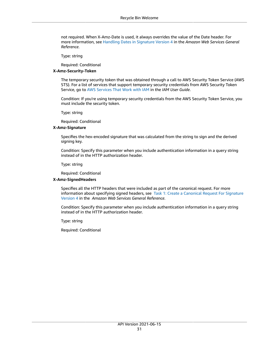not required. When X-Amz-Date is used, it always overrides the value of the Date header. For more information, see Handling Dates in [Signature](http://docs.aws.amazon.com/general/latest/gr/sigv4-date-handling.html) Version 4 in the *Amazon Web Services General Reference*.

Type: string

Required: Conditional

#### **X-Amz-Security-Token**

The temporary security token that was obtained through a call to AWS Security Token Service (AWS STS). For a list of services that support temporary security credentials from AWS Security Token Service, go to AWS [Services](http://docs.aws.amazon.com/IAM/latest/UserGuide/reference_aws-services-that-work-with-iam.html) That Work with IAM in the *IAM User Guide*.

Condition: If you're using temporary security credentials from the AWS Security Token Service, you must include the security token.

Type: string

Required: Conditional

#### **X-Amz-Signature**

Specifies the hex-encoded signature that was calculated from the string to sign and the derived signing key.

Condition: Specify this parameter when you include authentication information in a query string instead of in the HTTP authorization header.

Type: string

Required: Conditional

#### **X-Amz-SignedHeaders**

Specifies all the HTTP headers that were included as part of the canonical request. For more information about specifying signed headers, see Task 1: Create a [Canonical](http://docs.aws.amazon.com/general/latest/gr/sigv4-create-canonical-request.html) Request For Signature [Version](http://docs.aws.amazon.com/general/latest/gr/sigv4-create-canonical-request.html) 4 in the *Amazon Web Services General Reference*.

Condition: Specify this parameter when you include authentication information in a query string instead of in the HTTP authorization header.

Type: string

Required: Conditional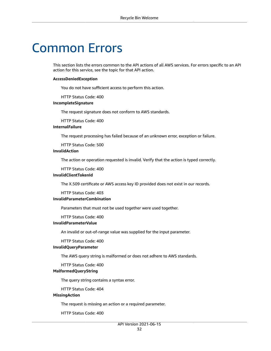# <span id="page-35-0"></span>Common Errors

This section lists the errors common to the API actions of all AWS services. For errors specific to an API action for this service, see the topic for that API action.

#### **AccessDeniedException**

You do not have sufficient access to perform this action.

HTTP Status Code: 400

#### **IncompleteSignature**

The request signature does not conform to AWS standards.

HTTP Status Code: 400

### **InternalFailure**

The request processing has failed because of an unknown error, exception or failure.

HTTP Status Code: 500

#### **InvalidAction**

The action or operation requested is invalid. Verify that the action is typed correctly.

HTTP Status Code: 400

#### **InvalidClientTokenId**

The X.509 certificate or AWS access key ID provided does not exist in our records.

HTTP Status Code: 403

#### **InvalidParameterCombination**

Parameters that must not be used together were used together.

HTTP Status Code: 400

#### **InvalidParameterValue**

An invalid or out-of-range value was supplied for the input parameter.

#### HTTP Status Code: 400

### **InvalidQueryParameter**

The AWS query string is malformed or does not adhere to AWS standards.

HTTP Status Code: 400

#### **MalformedQueryString**

The query string contains a syntax error.

HTTP Status Code: 404

#### **MissingAction**

The request is missing an action or a required parameter.

HTTP Status Code: 400